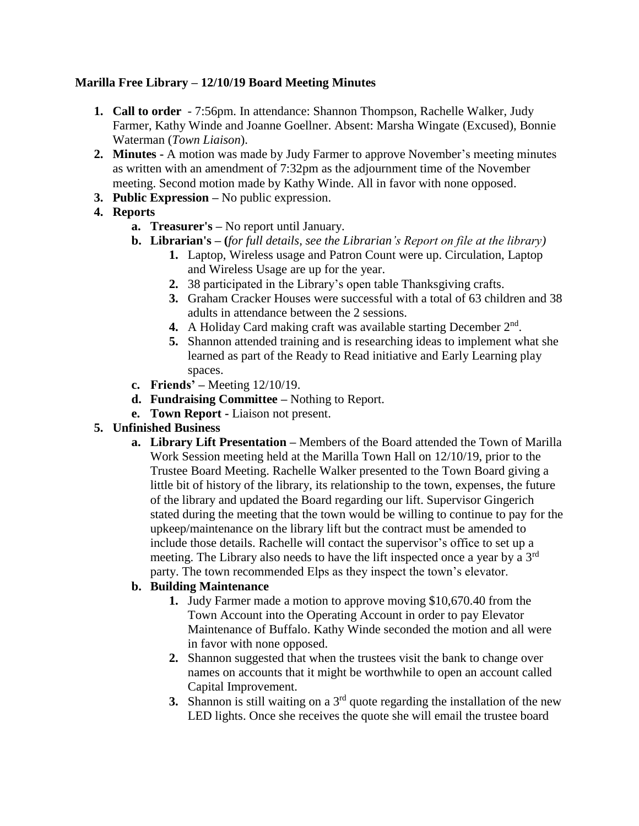### **Marilla Free Library – 12/10/19 Board Meeting Minutes**

- **1. Call to order** 7:56pm. In attendance: Shannon Thompson, Rachelle Walker, Judy Farmer, Kathy Winde and Joanne Goellner. Absent: Marsha Wingate (Excused), Bonnie Waterman (*Town Liaison*).
- **2. Minutes -** A motion was made by Judy Farmer to approve November's meeting minutes as written with an amendment of 7:32pm as the adjournment time of the November meeting. Second motion made by Kathy Winde. All in favor with none opposed.
- **3. Public Expression –** No public expression.

# **4. Reports**

- **a. Treasurer's –** No report until January.
- **b. Librarian's – (***for full details, see the Librarian's Report on file at the library)*
	- **1.** Laptop, Wireless usage and Patron Count were up. Circulation, Laptop and Wireless Usage are up for the year.
	- **2.** 38 participated in the Library's open table Thanksgiving crafts.
	- **3.** Graham Cracker Houses were successful with a total of 63 children and 38 adults in attendance between the 2 sessions.
	- 4. A Holiday Card making craft was available starting December 2<sup>nd</sup>.
	- **5.** Shannon attended training and is researching ideas to implement what she learned as part of the Ready to Read initiative and Early Learning play spaces.
- **c. Friends' –** Meeting 12/10/19.
- **d. Fundraising Committee –** Nothing to Report.
- **e. Town Report -** Liaison not present.

# **5. Unfinished Business**

**a. Library Lift Presentation –** Members of the Board attended the Town of Marilla Work Session meeting held at the Marilla Town Hall on 12/10/19, prior to the Trustee Board Meeting. Rachelle Walker presented to the Town Board giving a little bit of history of the library, its relationship to the town, expenses, the future of the library and updated the Board regarding our lift. Supervisor Gingerich stated during the meeting that the town would be willing to continue to pay for the upkeep/maintenance on the library lift but the contract must be amended to include those details. Rachelle will contact the supervisor's office to set up a meeting. The Library also needs to have the lift inspected once a year by a 3rd party. The town recommended Elps as they inspect the town's elevator.

# **b. Building Maintenance**

- **1.** Judy Farmer made a motion to approve moving \$10,670.40 from the Town Account into the Operating Account in order to pay Elevator Maintenance of Buffalo. Kathy Winde seconded the motion and all were in favor with none opposed.
- **2.** Shannon suggested that when the trustees visit the bank to change over names on accounts that it might be worthwhile to open an account called Capital Improvement.
- **3.** Shannon is still waiting on a 3<sup>rd</sup> quote regarding the installation of the new LED lights. Once she receives the quote she will email the trustee board